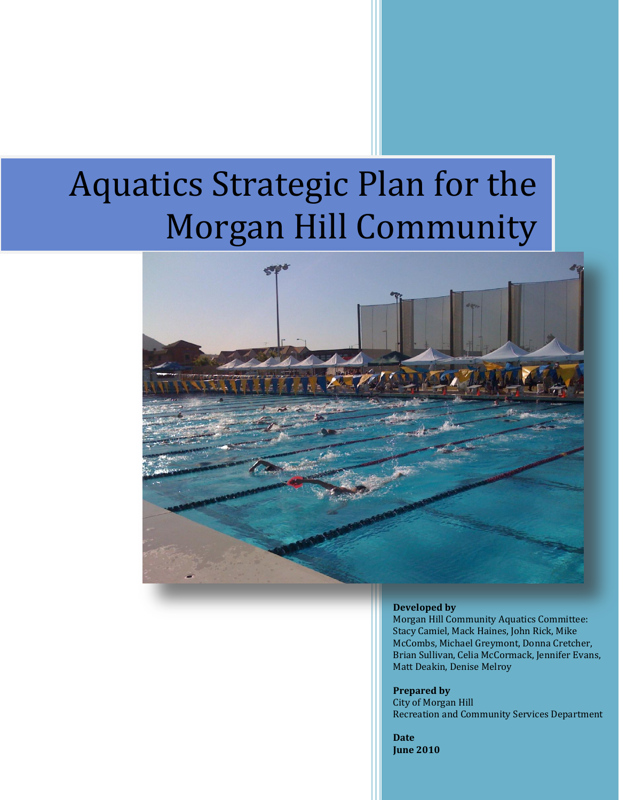# Aquatics Strategic Plan for the Morgan Hill Community



#### **Developed by**

Morgan Hill Community Aquatics Committee: Stacy Camiel, Mack Haines, John Rick, Mike McCombs, Michael Greymont, Donna Cretcher, Brian Sullivan, Celia McCormack, Jennifer Evans, Matt Deakin, Denise Melroy

**Prepared by** City of Morgan Hill Recreation and Community Services Department

**Date June 2010**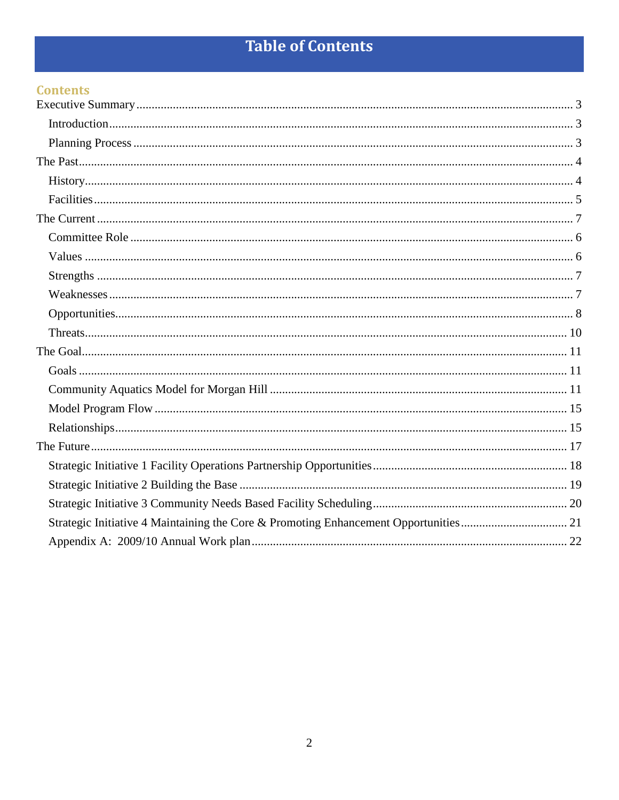# **Table of Contents**

### **Contents**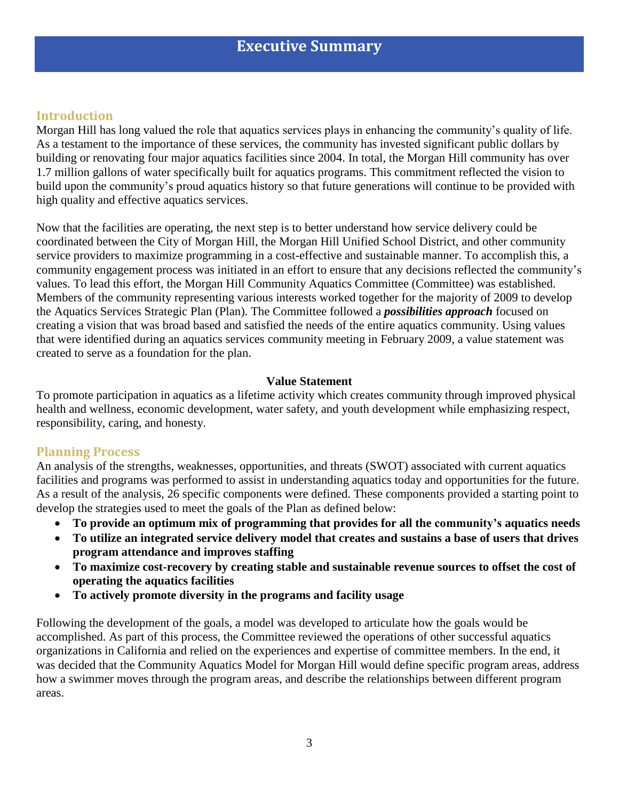### **Executive Summary**

#### <span id="page-2-1"></span><span id="page-2-0"></span>**Introduction**

Morgan Hill has long valued the role that aquatics services plays in enhancing the community's quality of life. As a testament to the importance of these services, the community has invested significant public dollars by building or renovating four major aquatics facilities since 2004. In total, the Morgan Hill community has over 1.7 million gallons of water specifically built for aquatics programs. This commitment reflected the vision to build upon the community's proud aquatics history so that future generations will continue to be provided with high quality and effective aquatics services.

Now that the facilities are operating, the next step is to better understand how service delivery could be coordinated between the City of Morgan Hill, the Morgan Hill Unified School District, and other community service providers to maximize programming in a cost-effective and sustainable manner. To accomplish this, a community engagement process was initiated in an effort to ensure that any decisions reflected the community's values. To lead this effort, the Morgan Hill Community Aquatics Committee (Committee) was established. Members of the community representing various interests worked together for the majority of 2009 to develop the Aquatics Services Strategic Plan (Plan). The Committee followed a *possibilities approach* focused on creating a vision that was broad based and satisfied the needs of the entire aquatics community. Using values that were identified during an aquatics services community meeting in February 2009, a value statement was created to serve as a foundation for the plan.

#### **Value Statement**

To promote participation in aquatics as a lifetime activity which creates community through improved physical health and wellness, economic development, water safety, and youth development while emphasizing respect, responsibility, caring, and honesty.

#### <span id="page-2-2"></span>**Planning Process**

An analysis of the strengths, weaknesses, opportunities, and threats (SWOT) associated with current aquatics facilities and programs was performed to assist in understanding aquatics today and opportunities for the future. As a result of the analysis, 26 specific components were defined. These components provided a starting point to develop the strategies used to meet the goals of the Plan as defined below:

- **To provide an optimum mix of programming that provides for all the community's aquatics needs**
- **To utilize an integrated service delivery model that creates and sustains a base of users that drives program attendance and improves staffing**
- **To maximize cost-recovery by creating stable and sustainable revenue sources to offset the cost of operating the aquatics facilities**
- **To actively promote diversity in the programs and facility usage**

Following the development of the goals, a model was developed to articulate how the goals would be accomplished. As part of this process, the Committee reviewed the operations of other successful aquatics organizations in California and relied on the experiences and expertise of committee members. In the end, it was decided that the Community Aquatics Model for Morgan Hill would define specific program areas, address how a swimmer moves through the program areas, and describe the relationships between different program areas.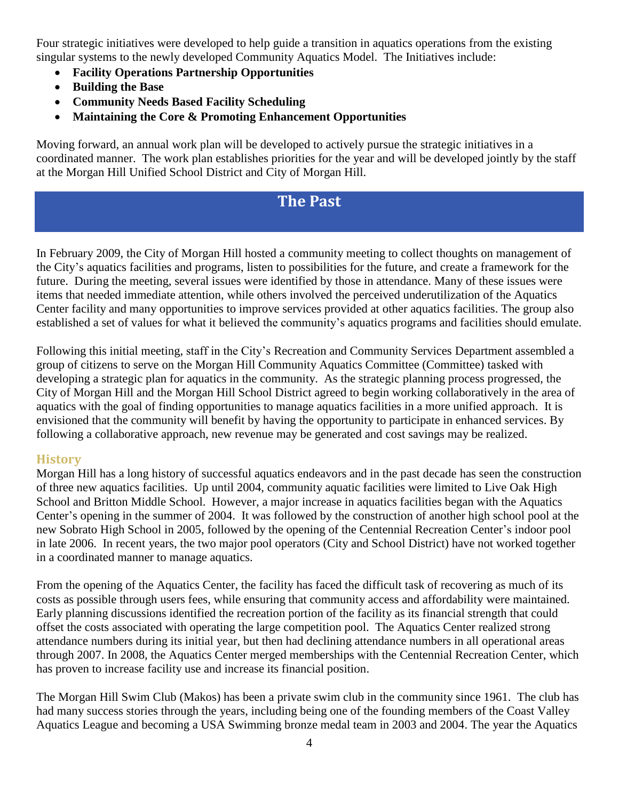Four strategic initiatives were developed to help guide a transition in aquatics operations from the existing singular systems to the newly developed Community Aquatics Model. The Initiatives include:

- **Facility Operations Partnership Opportunities**
- **Building the Base**
- **Community Needs Based Facility Scheduling**
- **Maintaining the Core & Promoting Enhancement Opportunities**

<span id="page-3-0"></span>Moving forward, an annual work plan will be developed to actively pursue the strategic initiatives in a coordinated manner. The work plan establishes priorities for the year and will be developed jointly by the staff at the Morgan Hill Unified School District and City of Morgan Hill.

### **The Past**

In February 2009, the City of Morgan Hill hosted a community meeting to collect thoughts on management of the City's aquatics facilities and programs, listen to possibilities for the future, and create a framework for the future. During the meeting, several issues were identified by those in attendance. Many of these issues were items that needed immediate attention, while others involved the perceived underutilization of the Aquatics Center facility and many opportunities to improve services provided at other aquatics facilities. The group also established a set of values for what it believed the community's aquatics programs and facilities should emulate.

Following this initial meeting, staff in the City's Recreation and Community Services Department assembled a group of citizens to serve on the Morgan Hill Community Aquatics Committee (Committee) tasked with developing a strategic plan for aquatics in the community. As the strategic planning process progressed, the City of Morgan Hill and the Morgan Hill School District agreed to begin working collaboratively in the area of aquatics with the goal of finding opportunities to manage aquatics facilities in a more unified approach. It is envisioned that the community will benefit by having the opportunity to participate in enhanced services. By following a collaborative approach, new revenue may be generated and cost savings may be realized.

#### <span id="page-3-1"></span>**History**

Morgan Hill has a long history of successful aquatics endeavors and in the past decade has seen the construction of three new aquatics facilities. Up until 2004, community aquatic facilities were limited to Live Oak High School and Britton Middle School. However, a major increase in aquatics facilities began with the Aquatics Center's opening in the summer of 2004. It was followed by the construction of another high school pool at the new Sobrato High School in 2005, followed by the opening of the Centennial Recreation Center's indoor pool in late 2006. In recent years, the two major pool operators (City and School District) have not worked together in a coordinated manner to manage aquatics.

From the opening of the Aquatics Center, the facility has faced the difficult task of recovering as much of its costs as possible through users fees, while ensuring that community access and affordability were maintained. Early planning discussions identified the recreation portion of the facility as its financial strength that could offset the costs associated with operating the large competition pool. The Aquatics Center realized strong attendance numbers during its initial year, but then had declining attendance numbers in all operational areas through 2007. In 2008, the Aquatics Center merged memberships with the Centennial Recreation Center, which has proven to increase facility use and increase its financial position.

The Morgan Hill Swim Club (Makos) has been a private swim club in the community since 1961. The club has had many success stories through the years, including being one of the founding members of the Coast Valley Aquatics League and becoming a USA Swimming bronze medal team in 2003 and 2004. The year the Aquatics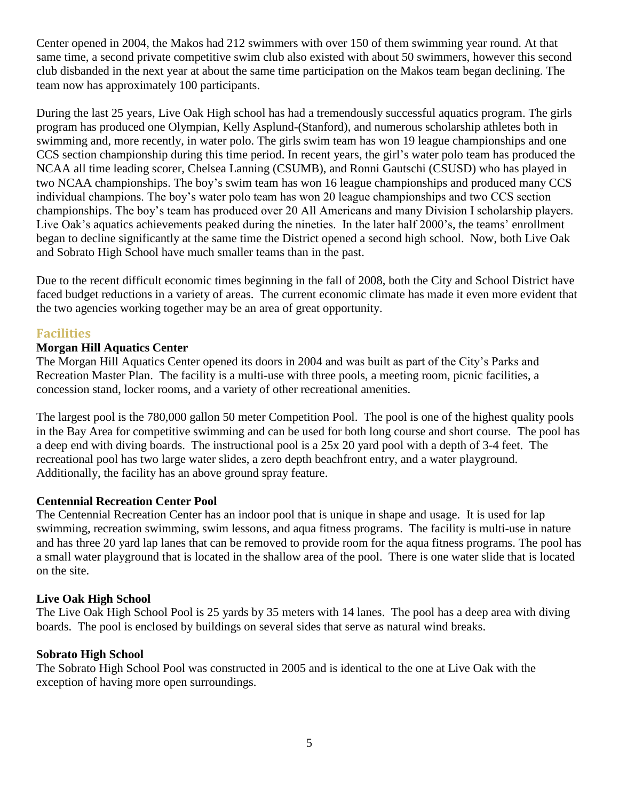Center opened in 2004, the Makos had 212 swimmers with over 150 of them swimming year round. At that same time, a second private competitive swim club also existed with about 50 swimmers, however this second club disbanded in the next year at about the same time participation on the Makos team began declining. The team now has approximately 100 participants.

During the last 25 years, Live Oak High school has had a tremendously successful aquatics program. The girls program has produced one Olympian, Kelly Asplund-(Stanford), and numerous scholarship athletes both in swimming and, more recently, in water polo. The girls swim team has won 19 league championships and one CCS section championship during this time period. In recent years, the girl's water polo team has produced the NCAA all time leading scorer, Chelsea Lanning (CSUMB), and Ronni Gautschi (CSUSD) who has played in two NCAA championships. The boy's swim team has won 16 league championships and produced many CCS individual champions. The boy's water polo team has won 20 league championships and two CCS section championships. The boy's team has produced over 20 All Americans and many Division I scholarship players. Live Oak's aquatics achievements peaked during the nineties. In the later half 2000's, the teams' enrollment began to decline significantly at the same time the District opened a second high school. Now, both Live Oak and Sobrato High School have much smaller teams than in the past.

Due to the recent difficult economic times beginning in the fall of 2008, both the City and School District have faced budget reductions in a variety of areas. The current economic climate has made it even more evident that the two agencies working together may be an area of great opportunity.

#### <span id="page-4-0"></span>**Facilities**

#### **Morgan Hill Aquatics Center**

The Morgan Hill Aquatics Center opened its doors in 2004 and was built as part of the City's Parks and Recreation Master Plan. The facility is a multi-use with three pools, a meeting room, picnic facilities, a concession stand, locker rooms, and a variety of other recreational amenities.

The largest pool is the 780,000 gallon 50 meter Competition Pool. The pool is one of the highest quality pools in the Bay Area for competitive swimming and can be used for both long course and short course. The pool has a deep end with diving boards. The instructional pool is a 25x 20 yard pool with a depth of 3-4 feet. The recreational pool has two large water slides, a zero depth beachfront entry, and a water playground. Additionally, the facility has an above ground spray feature.

#### **Centennial Recreation Center Pool**

The Centennial Recreation Center has an indoor pool that is unique in shape and usage. It is used for lap swimming, recreation swimming, swim lessons, and aqua fitness programs. The facility is multi-use in nature and has three 20 yard lap lanes that can be removed to provide room for the aqua fitness programs. The pool has a small water playground that is located in the shallow area of the pool. There is one water slide that is located on the site.

#### **Live Oak High School**

The Live Oak High School Pool is 25 yards by 35 meters with 14 lanes. The pool has a deep area with diving boards. The pool is enclosed by buildings on several sides that serve as natural wind breaks.

#### **Sobrato High School**

The Sobrato High School Pool was constructed in 2005 and is identical to the one at Live Oak with the exception of having more open surroundings.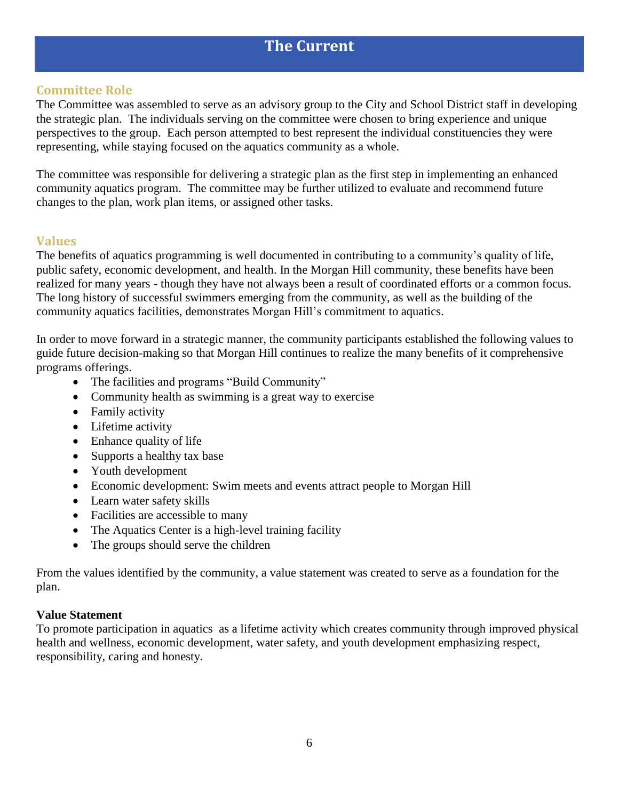### **The Current**

#### <span id="page-5-0"></span>**Committee Role**

The Committee was assembled to serve as an advisory group to the City and School District staff in developing the strategic plan. The individuals serving on the committee were chosen to bring experience and unique perspectives to the group. Each person attempted to best represent the individual constituencies they were representing, while staying focused on the aquatics community as a whole.

The committee was responsible for delivering a strategic plan as the first step in implementing an enhanced community aquatics program. The committee may be further utilized to evaluate and recommend future changes to the plan, work plan items, or assigned other tasks.

#### <span id="page-5-1"></span>**Values**

The benefits of aquatics programming is well documented in contributing to a community's quality of life, public safety, economic development, and health. In the Morgan Hill community, these benefits have been realized for many years - though they have not always been a result of coordinated efforts or a common focus. The long history of successful swimmers emerging from the community, as well as the building of the community aquatics facilities, demonstrates Morgan Hill's commitment to aquatics.

In order to move forward in a strategic manner, the community participants established the following values to guide future decision-making so that Morgan Hill continues to realize the many benefits of it comprehensive programs offerings.

- The facilities and programs "Build Community"
- Community health as swimming is a great way to exercise
- Family activity
- Lifetime activity
- Enhance quality of life
- Supports a healthy tax base
- Youth development
- Economic development: Swim meets and events attract people to Morgan Hill
- Learn water safety skills
- Facilities are accessible to many
- The Aquatics Center is a high-level training facility
- The groups should serve the children

From the values identified by the community, a value statement was created to serve as a foundation for the plan.

#### **Value Statement**

To promote participation in aquatics as a lifetime activity which creates community through improved physical health and wellness, economic development, water safety, and youth development emphasizing respect, responsibility, caring and honesty.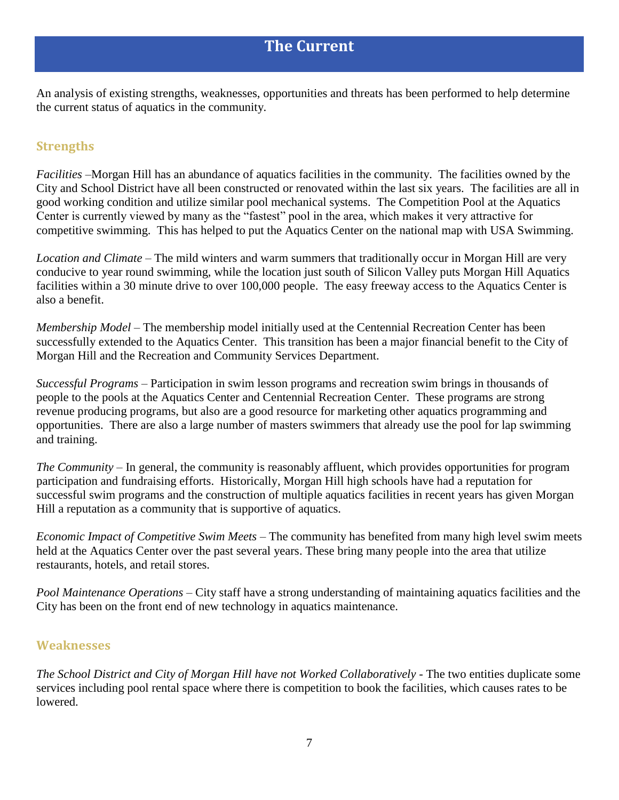<span id="page-6-0"></span>An analysis of existing strengths, weaknesses, opportunities and threats has been performed to help determine the current status of aquatics in the community.

#### <span id="page-6-1"></span>**Strengths**

*Facilities* –Morgan Hill has an abundance of aquatics facilities in the community. The facilities owned by the City and School District have all been constructed or renovated within the last six years. The facilities are all in good working condition and utilize similar pool mechanical systems. The Competition Pool at the Aquatics Center is currently viewed by many as the "fastest" pool in the area, which makes it very attractive for competitive swimming. This has helped to put the Aquatics Center on the national map with USA Swimming.

*Location and Climate* – The mild winters and warm summers that traditionally occur in Morgan Hill are very conducive to year round swimming, while the location just south of Silicon Valley puts Morgan Hill Aquatics facilities within a 30 minute drive to over 100,000 people. The easy freeway access to the Aquatics Center is also a benefit.

*Membership Model* – The membership model initially used at the Centennial Recreation Center has been successfully extended to the Aquatics Center. This transition has been a major financial benefit to the City of Morgan Hill and the Recreation and Community Services Department.

*Successful Programs* – Participation in swim lesson programs and recreation swim brings in thousands of people to the pools at the Aquatics Center and Centennial Recreation Center. These programs are strong revenue producing programs, but also are a good resource for marketing other aquatics programming and opportunities. There are also a large number of masters swimmers that already use the pool for lap swimming and training.

*The Community* – In general, the community is reasonably affluent, which provides opportunities for program participation and fundraising efforts. Historically, Morgan Hill high schools have had a reputation for successful swim programs and the construction of multiple aquatics facilities in recent years has given Morgan Hill a reputation as a community that is supportive of aquatics.

*Economic Impact of Competitive Swim Meets* – The community has benefited from many high level swim meets held at the Aquatics Center over the past several years. These bring many people into the area that utilize restaurants, hotels, and retail stores.

*Pool Maintenance Operations* – City staff have a strong understanding of maintaining aquatics facilities and the City has been on the front end of new technology in aquatics maintenance.

#### <span id="page-6-2"></span>**Weaknesses**

*The School District and City of Morgan Hill have not Worked Collaboratively* - The two entities duplicate some services including pool rental space where there is competition to book the facilities, which causes rates to be lowered.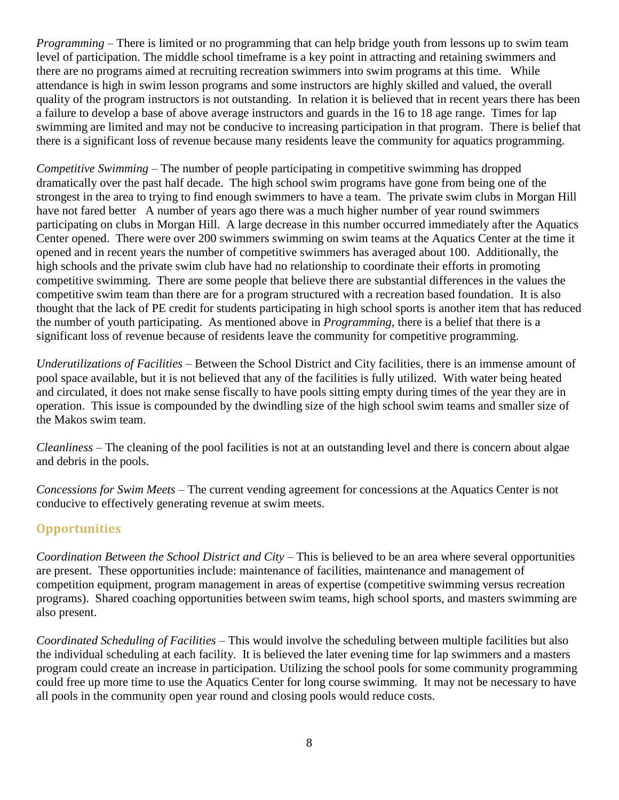*Programming* – There is limited or no programming that can help bridge youth from lessons up to swim team level of participation. The middle school timeframe is a key point in attracting and retaining swimmers and there are no programs aimed at recruiting recreation swimmers into swim programs at this time. While attendance is high in swim lesson programs and some instructors are highly skilled and valued, the overall quality of the program instructors is not outstanding. In relation it is believed that in recent years there has been a failure to develop a base of above average instructors and guards in the 16 to 18 age range. Times for lap swimming are limited and may not be conducive to increasing participation in that program. There is belief that there is a significant loss of revenue because many residents leave the community for aquatics programming.

*Competitive Swimming* – The number of people participating in competitive swimming has dropped dramatically over the past half decade. The high school swim programs have gone from being one of the strongest in the area to trying to find enough swimmers to have a team. The private swim clubs in Morgan Hill have not fared better A number of years ago there was a much higher number of year round swimmers participating on clubs in Morgan Hill. A large decrease in this number occurred immediately after the Aquatics Center opened. There were over 200 swimmers swimming on swim teams at the Aquatics Center at the time it opened and in recent years the number of competitive swimmers has averaged about 100. Additionally, the high schools and the private swim club have had no relationship to coordinate their efforts in promoting competitive swimming. There are some people that believe there are substantial differences in the values the competitive swim team than there are for a program structured with a recreation based foundation. It is also thought that the lack of PE credit for students participating in high school sports is another item that has reduced the number of youth participating. As mentioned above in *Programming*, there is a belief that there is a significant loss of revenue because of residents leave the community for competitive programming.

*Underutilizations of Facilities* – Between the School District and City facilities, there is an immense amount of pool space available, but it is not believed that any of the facilities is fully utilized. With water being heated and circulated, it does not make sense fiscally to have pools sitting empty during times of the year they are in operation. This issue is compounded by the dwindling size of the high school swim teams and smaller size of the Makos swim team.

*Cleanliness* – The cleaning of the pool facilities is not at an outstanding level and there is concern about algae and debris in the pools.

*Concessions for Swim Meets* – The current vending agreement for concessions at the Aquatics Center is not conducive to effectively generating revenue at swim meets.

#### <span id="page-7-0"></span>**Opportunities**

*Coordination Between the School District and City* – This is believed to be an area where several opportunities are present. These opportunities include: maintenance of facilities, maintenance and management of competition equipment, program management in areas of expertise (competitive swimming versus recreation programs). Shared coaching opportunities between swim teams, high school sports, and masters swimming are also present.

*Coordinated Scheduling of Facilities* – This would involve the scheduling between multiple facilities but also the individual scheduling at each facility. It is believed the later evening time for lap swimmers and a masters program could create an increase in participation. Utilizing the school pools for some community programming could free up more time to use the Aquatics Center for long course swimming. It may not be necessary to have all pools in the community open year round and closing pools would reduce costs.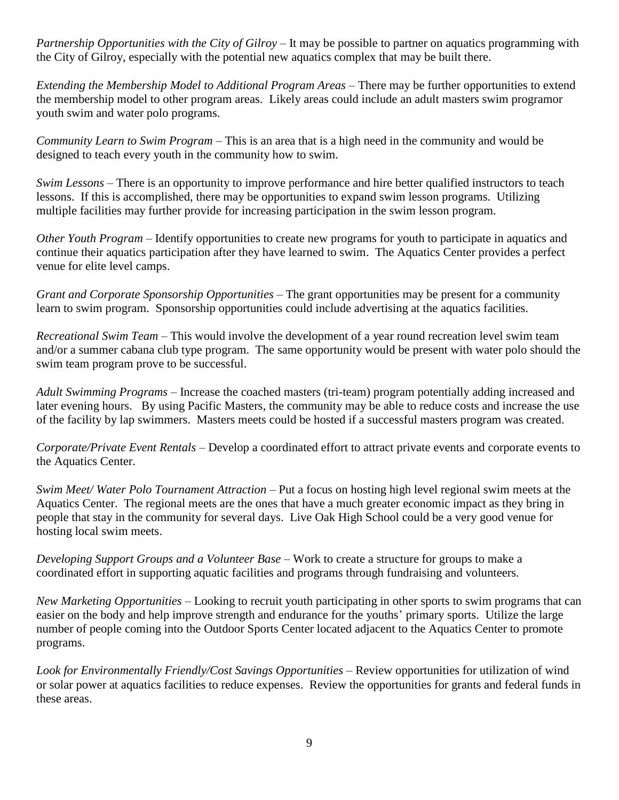*Partnership Opportunities with the City of Gilroy* – It may be possible to partner on aquatics programming with the City of Gilroy, especially with the potential new aquatics complex that may be built there.

*Extending the Membership Model to Additional Program Areas* – There may be further opportunities to extend the membership model to other program areas. Likely areas could include an adult masters swim programor youth swim and water polo programs.

*Community Learn to Swim Program* – This is an area that is a high need in the community and would be designed to teach every youth in the community how to swim.

*Swim Lessons* – There is an opportunity to improve performance and hire better qualified instructors to teach lessons. If this is accomplished, there may be opportunities to expand swim lesson programs. Utilizing multiple facilities may further provide for increasing participation in the swim lesson program.

*Other Youth Program* – Identify opportunities to create new programs for youth to participate in aquatics and continue their aquatics participation after they have learned to swim. The Aquatics Center provides a perfect venue for elite level camps.

*Grant and Corporate Sponsorship Opportunities* – The grant opportunities may be present for a community learn to swim program. Sponsorship opportunities could include advertising at the aquatics facilities.

*Recreational Swim Team* – This would involve the development of a year round recreation level swim team and/or a summer cabana club type program. The same opportunity would be present with water polo should the swim team program prove to be successful.

*Adult Swimming Programs* – Increase the coached masters (tri-team) program potentially adding increased and later evening hours. By using Pacific Masters, the community may be able to reduce costs and increase the use of the facility by lap swimmers. Masters meets could be hosted if a successful masters program was created.

*Corporate/Private Event Rentals* – Develop a coordinated effort to attract private events and corporate events to the Aquatics Center.

*Swim Meet/ Water Polo Tournament Attraction* – Put a focus on hosting high level regional swim meets at the Aquatics Center. The regional meets are the ones that have a much greater economic impact as they bring in people that stay in the community for several days. Live Oak High School could be a very good venue for hosting local swim meets.

*Developing Support Groups and a Volunteer Base* – Work to create a structure for groups to make a coordinated effort in supporting aquatic facilities and programs through fundraising and volunteers.

*New Marketing Opportunities* – Looking to recruit youth participating in other sports to swim programs that can easier on the body and help improve strength and endurance for the youths' primary sports. Utilize the large number of people coming into the Outdoor Sports Center located adjacent to the Aquatics Center to promote programs.

*Look for Environmentally Friendly/Cost Savings Opportunities* – Review opportunities for utilization of wind or solar power at aquatics facilities to reduce expenses. Review the opportunities for grants and federal funds in these areas.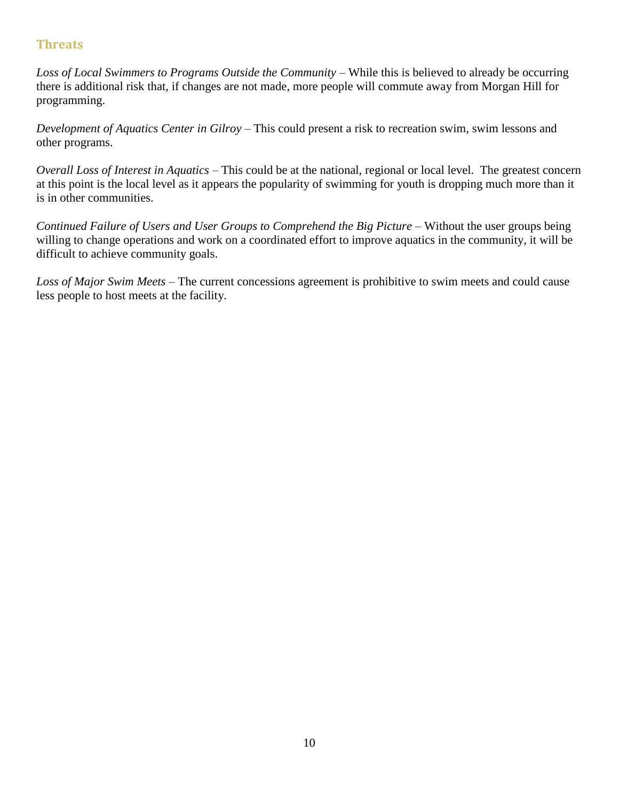#### <span id="page-9-0"></span>**Threats**

*Loss of Local Swimmers to Programs Outside the Community* – While this is believed to already be occurring there is additional risk that, if changes are not made, more people will commute away from Morgan Hill for programming.

*Development of Aquatics Center in Gilroy* – This could present a risk to recreation swim, swim lessons and other programs.

*Overall Loss of Interest in Aquatics* – This could be at the national, regional or local level. The greatest concern at this point is the local level as it appears the popularity of swimming for youth is dropping much more than it is in other communities.

*Continued Failure of Users and User Groups to Comprehend the Big Picture* – Without the user groups being willing to change operations and work on a coordinated effort to improve aquatics in the community, it will be difficult to achieve community goals.

*Loss of Major Swim Meets* – The current concessions agreement is prohibitive to swim meets and could cause less people to host meets at the facility.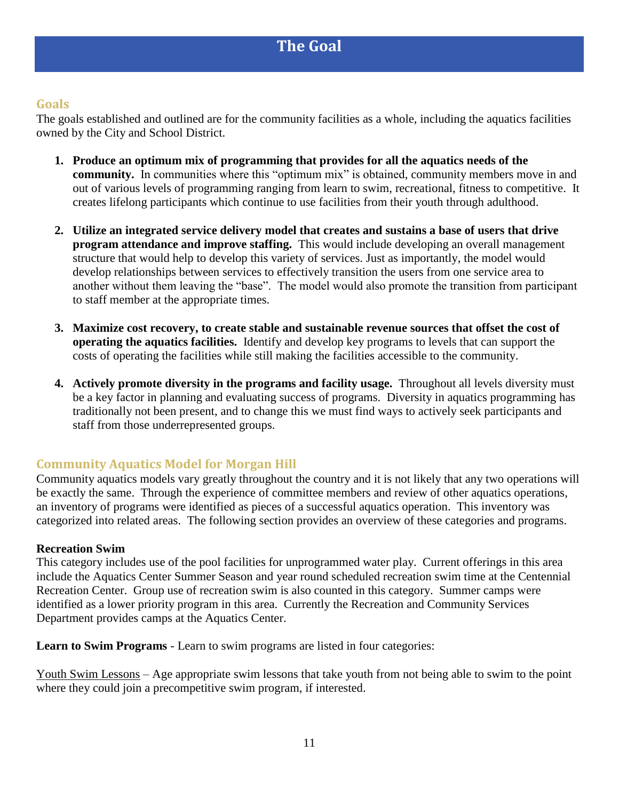#### <span id="page-10-1"></span><span id="page-10-0"></span>**Goals**

The goals established and outlined are for the community facilities as a whole, including the aquatics facilities owned by the City and School District.

- **1. Produce an optimum mix of programming that provides for all the aquatics needs of the community.** In communities where this "optimum mix" is obtained, community members move in and out of various levels of programming ranging from learn to swim, recreational, fitness to competitive. It creates lifelong participants which continue to use facilities from their youth through adulthood.
- **2. Utilize an integrated service delivery model that creates and sustains a base of users that drive program attendance and improve staffing.** This would include developing an overall management structure that would help to develop this variety of services. Just as importantly, the model would develop relationships between services to effectively transition the users from one service area to another without them leaving the "base". The model would also promote the transition from participant to staff member at the appropriate times.
- **3. Maximize cost recovery, to create stable and sustainable revenue sources that offset the cost of operating the aquatics facilities.** Identify and develop key programs to levels that can support the costs of operating the facilities while still making the facilities accessible to the community.
- **4. Actively promote diversity in the programs and facility usage.** Throughout all levels diversity must be a key factor in planning and evaluating success of programs. Diversity in aquatics programming has traditionally not been present, and to change this we must find ways to actively seek participants and staff from those underrepresented groups.

#### <span id="page-10-2"></span>**Community Aquatics Model for Morgan Hill**

Community aquatics models vary greatly throughout the country and it is not likely that any two operations will be exactly the same. Through the experience of committee members and review of other aquatics operations, an inventory of programs were identified as pieces of a successful aquatics operation. This inventory was categorized into related areas. The following section provides an overview of these categories and programs.

#### **Recreation Swim**

This category includes use of the pool facilities for unprogrammed water play. Current offerings in this area include the Aquatics Center Summer Season and year round scheduled recreation swim time at the Centennial Recreation Center. Group use of recreation swim is also counted in this category. Summer camps were identified as a lower priority program in this area. Currently the Recreation and Community Services Department provides camps at the Aquatics Center.

**Learn to Swim Programs** - Learn to swim programs are listed in four categories:

Youth Swim Lessons – Age appropriate swim lessons that take youth from not being able to swim to the point where they could join a precompetitive swim program, if interested.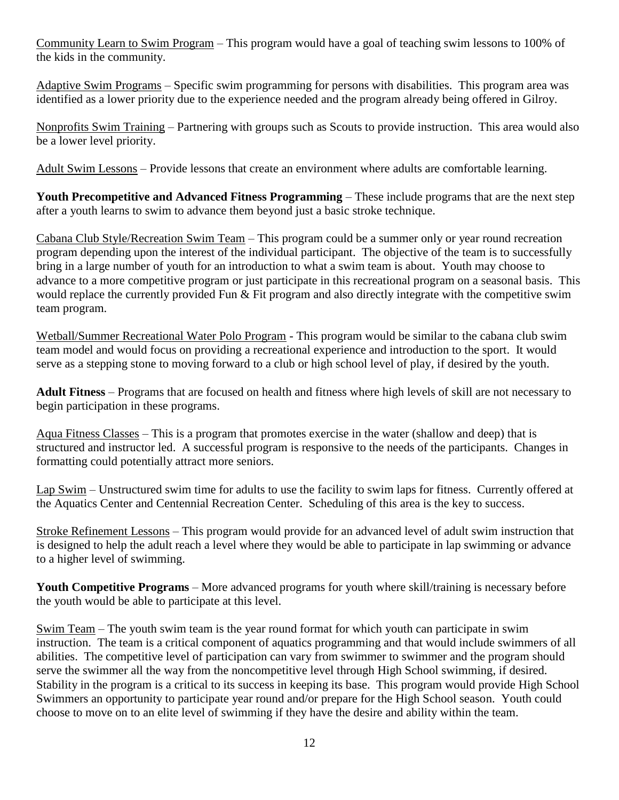Community Learn to Swim Program – This program would have a goal of teaching swim lessons to 100% of the kids in the community.

Adaptive Swim Programs – Specific swim programming for persons with disabilities. This program area was identified as a lower priority due to the experience needed and the program already being offered in Gilroy.

Nonprofits Swim Training – Partnering with groups such as Scouts to provide instruction. This area would also be a lower level priority.

Adult Swim Lessons – Provide lessons that create an environment where adults are comfortable learning.

**Youth Precompetitive and Advanced Fitness Programming** – These include programs that are the next step after a youth learns to swim to advance them beyond just a basic stroke technique.

Cabana Club Style/Recreation Swim Team – This program could be a summer only or year round recreation program depending upon the interest of the individual participant. The objective of the team is to successfully bring in a large number of youth for an introduction to what a swim team is about. Youth may choose to advance to a more competitive program or just participate in this recreational program on a seasonal basis. This would replace the currently provided Fun & Fit program and also directly integrate with the competitive swim team program.

Wetball/Summer Recreational Water Polo Program - This program would be similar to the cabana club swim team model and would focus on providing a recreational experience and introduction to the sport. It would serve as a stepping stone to moving forward to a club or high school level of play, if desired by the youth.

**Adult Fitness** – Programs that are focused on health and fitness where high levels of skill are not necessary to begin participation in these programs.

Aqua Fitness Classes – This is a program that promotes exercise in the water (shallow and deep) that is structured and instructor led. A successful program is responsive to the needs of the participants. Changes in formatting could potentially attract more seniors.

Lap Swim – Unstructured swim time for adults to use the facility to swim laps for fitness. Currently offered at the Aquatics Center and Centennial Recreation Center. Scheduling of this area is the key to success.

Stroke Refinement Lessons – This program would provide for an advanced level of adult swim instruction that is designed to help the adult reach a level where they would be able to participate in lap swimming or advance to a higher level of swimming.

**Youth Competitive Programs** – More advanced programs for youth where skill/training is necessary before the youth would be able to participate at this level.

Swim Team – The youth swim team is the year round format for which youth can participate in swim instruction. The team is a critical component of aquatics programming and that would include swimmers of all abilities. The competitive level of participation can vary from swimmer to swimmer and the program should serve the swimmer all the way from the noncompetitive level through High School swimming, if desired. Stability in the program is a critical to its success in keeping its base. This program would provide High School Swimmers an opportunity to participate year round and/or prepare for the High School season. Youth could choose to move on to an elite level of swimming if they have the desire and ability within the team.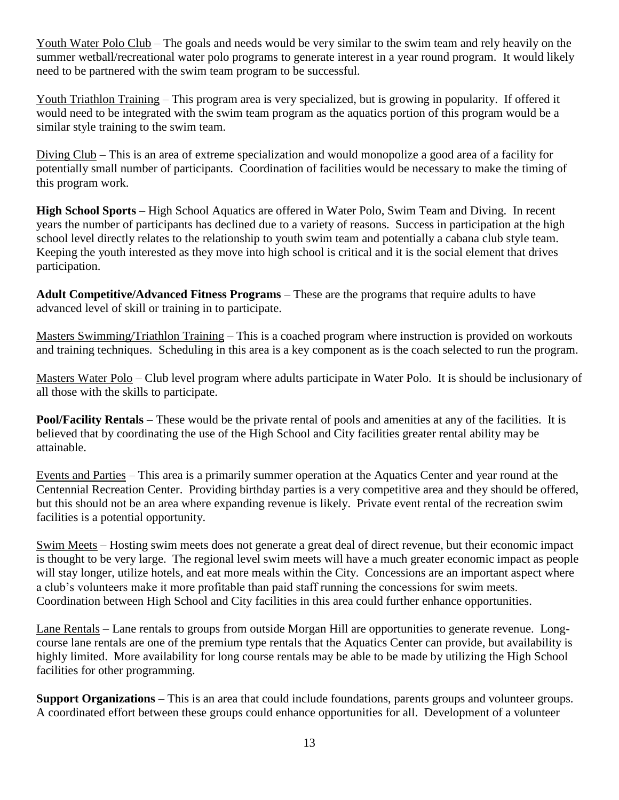Youth Water Polo Club – The goals and needs would be very similar to the swim team and rely heavily on the summer wetball/recreational water polo programs to generate interest in a year round program. It would likely need to be partnered with the swim team program to be successful.

Youth Triathlon Training – This program area is very specialized, but is growing in popularity. If offered it would need to be integrated with the swim team program as the aquatics portion of this program would be a similar style training to the swim team.

Diving Club – This is an area of extreme specialization and would monopolize a good area of a facility for potentially small number of participants. Coordination of facilities would be necessary to make the timing of this program work.

**High School Sports** – High School Aquatics are offered in Water Polo, Swim Team and Diving. In recent years the number of participants has declined due to a variety of reasons. Success in participation at the high school level directly relates to the relationship to youth swim team and potentially a cabana club style team. Keeping the youth interested as they move into high school is critical and it is the social element that drives participation.

**Adult Competitive/Advanced Fitness Programs** – These are the programs that require adults to have advanced level of skill or training in to participate.

Masters Swimming/Triathlon Training – This is a coached program where instruction is provided on workouts and training techniques. Scheduling in this area is a key component as is the coach selected to run the program.

Masters Water Polo – Club level program where adults participate in Water Polo. It is should be inclusionary of all those with the skills to participate.

**Pool/Facility Rentals** – These would be the private rental of pools and amenities at any of the facilities. It is believed that by coordinating the use of the High School and City facilities greater rental ability may be attainable.

Events and Parties – This area is a primarily summer operation at the Aquatics Center and year round at the Centennial Recreation Center. Providing birthday parties is a very competitive area and they should be offered, but this should not be an area where expanding revenue is likely. Private event rental of the recreation swim facilities is a potential opportunity.

Swim Meets – Hosting swim meets does not generate a great deal of direct revenue, but their economic impact is thought to be very large. The regional level swim meets will have a much greater economic impact as people will stay longer, utilize hotels, and eat more meals within the City. Concessions are an important aspect where a club's volunteers make it more profitable than paid staff running the concessions for swim meets. Coordination between High School and City facilities in this area could further enhance opportunities.

Lane Rentals – Lane rentals to groups from outside Morgan Hill are opportunities to generate revenue. Longcourse lane rentals are one of the premium type rentals that the Aquatics Center can provide, but availability is highly limited. More availability for long course rentals may be able to be made by utilizing the High School facilities for other programming.

**Support Organizations** – This is an area that could include foundations, parents groups and volunteer groups. A coordinated effort between these groups could enhance opportunities for all. Development of a volunteer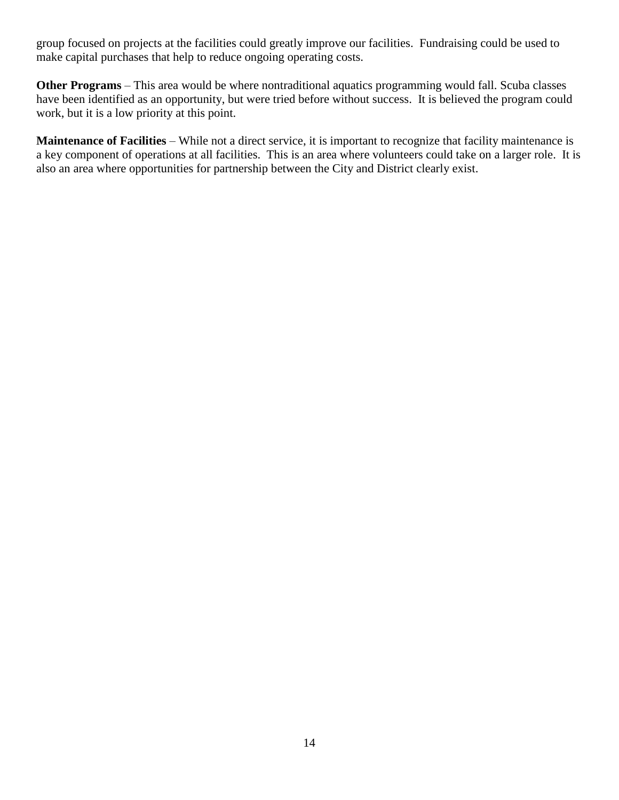group focused on projects at the facilities could greatly improve our facilities. Fundraising could be used to make capital purchases that help to reduce ongoing operating costs.

**Other Programs** – This area would be where nontraditional aquatics programming would fall. Scuba classes have been identified as an opportunity, but were tried before without success. It is believed the program could work, but it is a low priority at this point.

**Maintenance of Facilities** – While not a direct service, it is important to recognize that facility maintenance is a key component of operations at all facilities. This is an area where volunteers could take on a larger role. It is also an area where opportunities for partnership between the City and District clearly exist.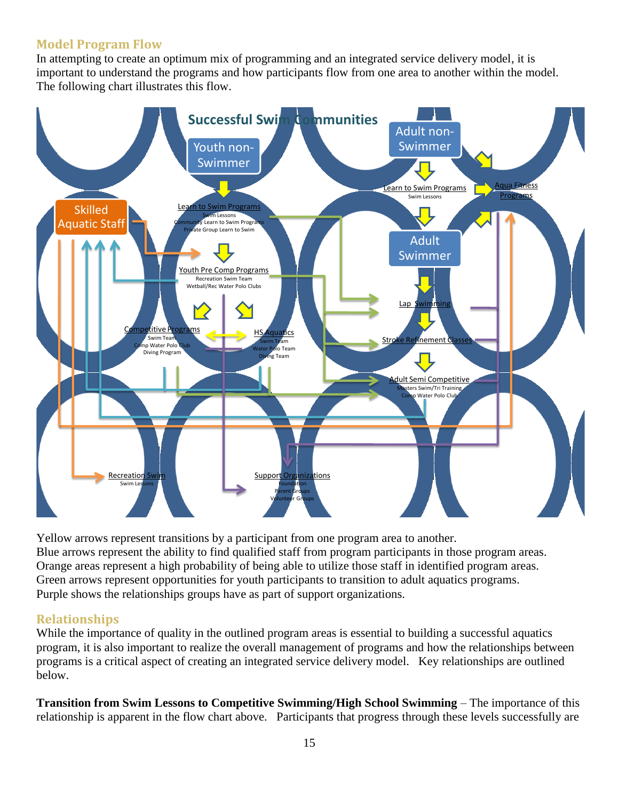#### <span id="page-14-0"></span>**Model Program Flow**

In attempting to create an optimum mix of programming and an integrated service delivery model, it is important to understand the programs and how participants flow from one area to another within the model. The following chart illustrates this flow.



Yellow arrows represent transitions by a participant from one program area to another. Blue arrows represent the ability to find qualified staff from program participants in those program areas. Orange areas represent a high probability of being able to utilize those staff in identified program areas. Green arrows represent opportunities for youth participants to transition to adult aquatics programs. Purple shows the relationships groups have as part of support organizations.

#### <span id="page-14-1"></span>**Relationships**

While the importance of quality in the outlined program areas is essential to building a successful aquatics program, it is also important to realize the overall management of programs and how the relationships between programs is a critical aspect of creating an integrated service delivery model. Key relationships are outlined below.

**Transition from Swim Lessons to Competitive Swimming/High School Swimming** – The importance of this relationship is apparent in the flow chart above. Participants that progress through these levels successfully are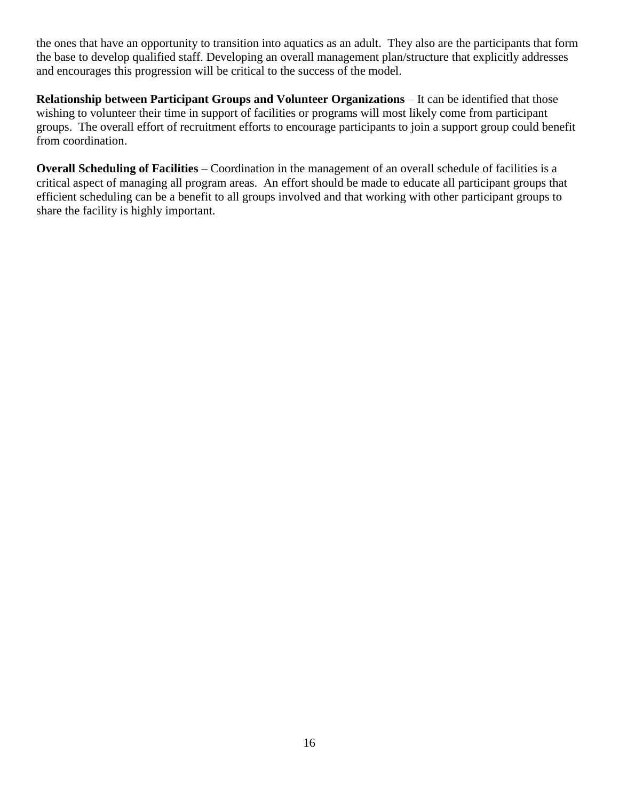the ones that have an opportunity to transition into aquatics as an adult. They also are the participants that form the base to develop qualified staff. Developing an overall management plan/structure that explicitly addresses and encourages this progression will be critical to the success of the model.

**Relationship between Participant Groups and Volunteer Organizations** – It can be identified that those wishing to volunteer their time in support of facilities or programs will most likely come from participant groups. The overall effort of recruitment efforts to encourage participants to join a support group could benefit from coordination.

**Overall Scheduling of Facilities** – Coordination in the management of an overall schedule of facilities is a critical aspect of managing all program areas. An effort should be made to educate all participant groups that efficient scheduling can be a benefit to all groups involved and that working with other participant groups to share the facility is highly important.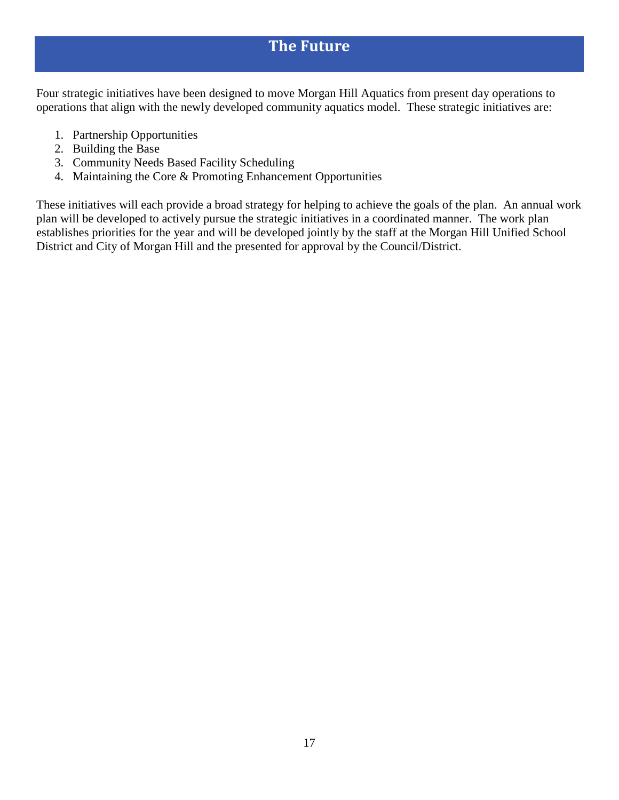### **The Future**

<span id="page-16-0"></span>Four strategic initiatives have been designed to move Morgan Hill Aquatics from present day operations to operations that align with the newly developed community aquatics model. These strategic initiatives are:

- 1. Partnership Opportunities
- 2. Building the Base
- 3. Community Needs Based Facility Scheduling
- 4. Maintaining the Core & Promoting Enhancement Opportunities

These initiatives will each provide a broad strategy for helping to achieve the goals of the plan. An annual work plan will be developed to actively pursue the strategic initiatives in a coordinated manner. The work plan establishes priorities for the year and will be developed jointly by the staff at the Morgan Hill Unified School District and City of Morgan Hill and the presented for approval by the Council/District.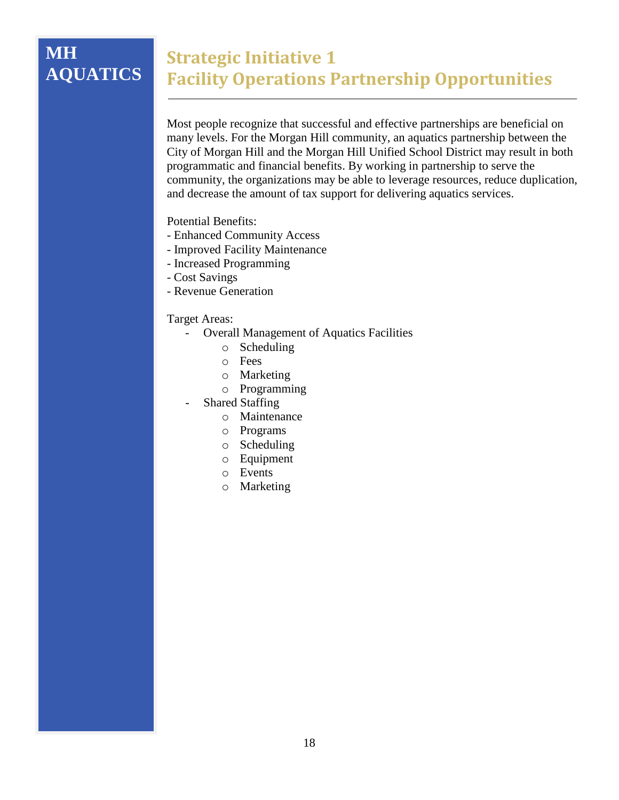# **MH AQUATICS**

### <span id="page-17-0"></span>**Strategic Initiative 1 Facility Operations Partnership Opportunities**

Most people recognize that successful and effective partnerships are beneficial on many levels. For the Morgan Hill community, an aquatics partnership between the City of Morgan Hill and the Morgan Hill Unified School District may result in both programmatic and financial benefits. By working in partnership to serve the community, the organizations may be able to leverage resources, reduce duplication, and decrease the amount of tax support for delivering aquatics services.

Potential Benefits:

- Enhanced Community Access
- Improved Facility Maintenance
- Increased Programming
- Cost Savings
- Revenue Generation

- Overall Management of Aquatics Facilities
	- o Scheduling
	- o Fees
	- o Marketing
	- o Programming
- Shared Staffing
	- o Maintenance
	- o Programs
	- o Scheduling
	- o Equipment
	- o Events
	- o Marketing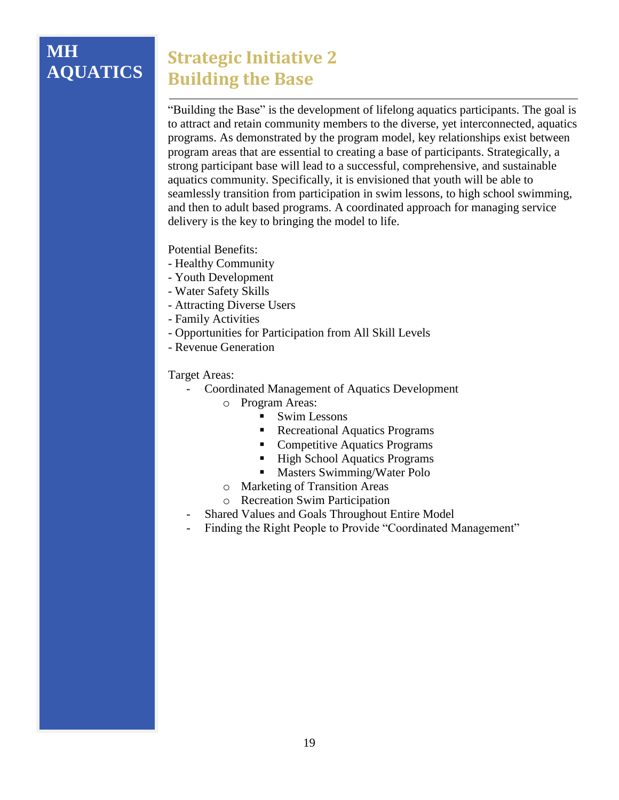#### **MH AQUATICS Strategic Initiative 2 Building the Base**

<span id="page-18-0"></span>"Building the Base" is the development of lifelong aquatics participants. The goal is to attract and retain community members to the diverse, yet interconnected, aquatics programs. As demonstrated by the program model, key relationships exist between program areas that are essential to creating a base of participants. Strategically, a strong participant base will lead to a successful, comprehensive, and sustainable aquatics community. Specifically, it is envisioned that youth will be able to seamlessly transition from participation in swim lessons, to high school swimming, and then to adult based programs. A coordinated approach for managing service delivery is the key to bringing the model to life.

Potential Benefits:

- Healthy Community
- Youth Development
- Water Safety Skills
- Attracting Diverse Users
- Family Activities
- Opportunities for Participation from All Skill Levels
- Revenue Generation

- Coordinated Management of Aquatics Development
	- o Program Areas:
		- **Swim Lessons** 
			- **Recreational Aquatics Programs**
			- Competitive Aquatics Programs
			- High School Aquatics Programs
			- Masters Swimming/Water Polo
	- o Marketing of Transition Areas
	- o Recreation Swim Participation
- Shared Values and Goals Throughout Entire Model
- Finding the Right People to Provide "Coordinated Management"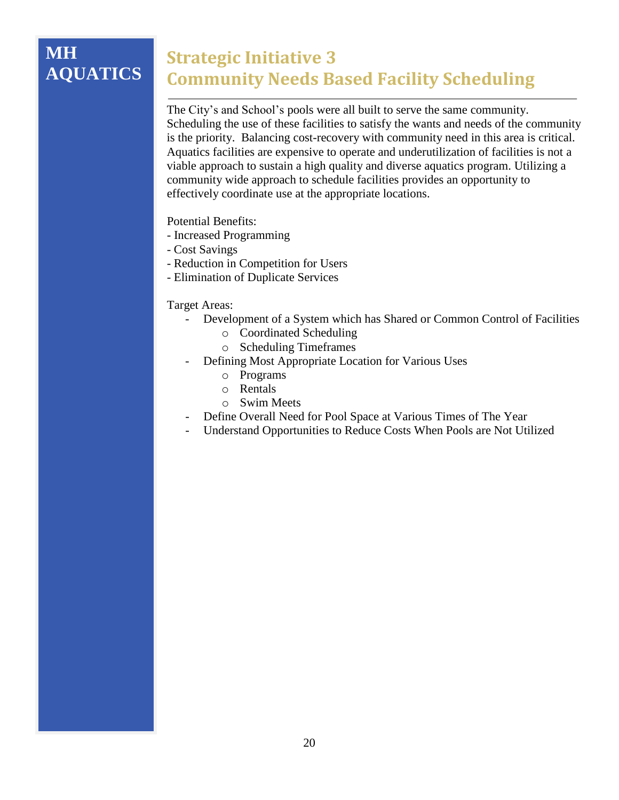# **MH AQUATICS**

# <span id="page-19-0"></span>**Strategic Initiative 3 Community Needs Based Facility Scheduling**

The City's and School's pools were all built to serve the same community. Scheduling the use of these facilities to satisfy the wants and needs of the community is the priority. Balancing cost-recovery with community need in this area is critical. Aquatics facilities are expensive to operate and underutilization of facilities is not a viable approach to sustain a high quality and diverse aquatics program. Utilizing a community wide approach to schedule facilities provides an opportunity to effectively coordinate use at the appropriate locations.

Potential Benefits:

- Increased Programming
- Cost Savings
- Reduction in Competition for Users
- Elimination of Duplicate Services

- Development of a System which has Shared or Common Control of Facilities
	- o Coordinated Scheduling
	- o Scheduling Timeframes
- Defining Most Appropriate Location for Various Uses
	- o Programs
	- o Rentals
	- o Swim Meets
- Define Overall Need for Pool Space at Various Times of The Year
- Understand Opportunities to Reduce Costs When Pools are Not Utilized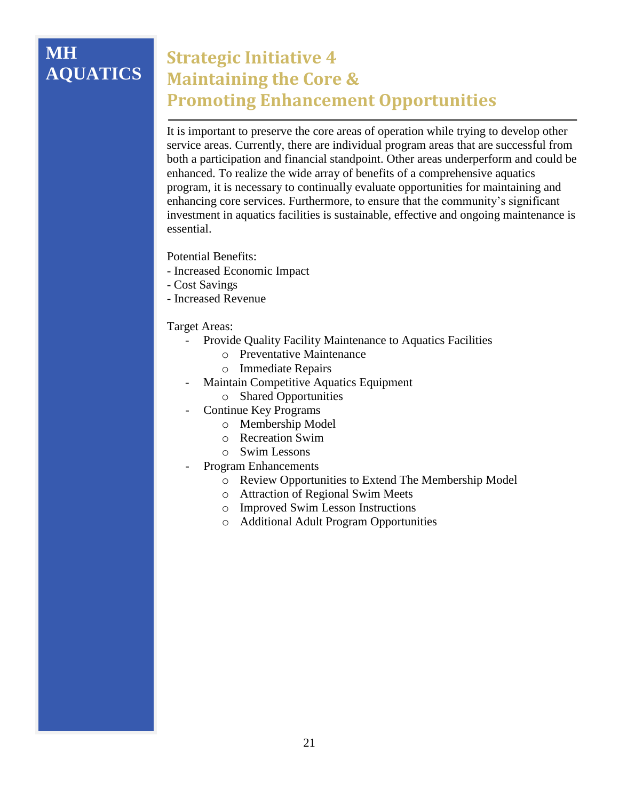# **MH AQUATICS**

# <span id="page-20-0"></span>**Strategic Initiative 4 Maintaining the Core & Promoting Enhancement Opportunities**

It is important to preserve the core areas of operation while trying to develop other service areas. Currently, there are individual program areas that are successful from both a participation and financial standpoint. Other areas underperform and could be enhanced. To realize the wide array of benefits of a comprehensive aquatics program, it is necessary to continually evaluate opportunities for maintaining and enhancing core services. Furthermore, to ensure that the community's significant investment in aquatics facilities is sustainable, effective and ongoing maintenance is essential.

Potential Benefits:

- Increased Economic Impact
- Cost Savings
- Increased Revenue

- Provide Quality Facility Maintenance to Aquatics Facilities
	- o Preventative Maintenance
	- o Immediate Repairs
- Maintain Competitive Aquatics Equipment
	- o Shared Opportunities
- Continue Key Programs
	- o Membership Model
	- o Recreation Swim
	- o Swim Lessons
- Program Enhancements
	- o Review Opportunities to Extend The Membership Model
	- o Attraction of Regional Swim Meets
	- o Improved Swim Lesson Instructions
	- o Additional Adult Program Opportunities